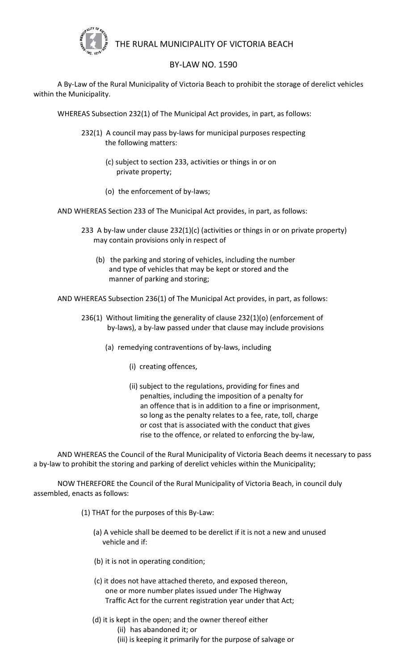

## THE RURAL MUNICIPALITY OF VICTORIA BEACH

## BY-LAW NO. 1590

A By-Law of the Rural Municipality of Victoria Beach to prohibit the storage of derelict vehicles within the Municipality.

WHEREAS Subsection 232(1) of The Municipal Act provides, in part, as follows:

- 232(1) A council may pass by-laws for municipal purposes respecting the following matters:
	- (c) subject to section 233, activities or things in or on private property;
	- (o) the enforcement of by-laws;

AND WHEREAS Section 233 of The Municipal Act provides, in part, as follows:

- 233 A by-law under clause 232(1)(c) (activities or things in or on private property) may contain provisions only in respect of
	- (b) the parking and storing of vehicles, including the number and type of vehicles that may be kept or stored and the manner of parking and storing;

AND WHEREAS Subsection 236(1) of The Municipal Act provides, in part, as follows:

- 236(1) Without limiting the generality of clause 232(1)(o) (enforcement of by-laws), a by-law passed under that clause may include provisions
	- (a) remedying contraventions of by-laws, including
		- (i) creating offences,
		- (ii) subject to the regulations, providing for fines and penalties, including the imposition of a penalty for an offence that is in addition to a fine or imprisonment, so long as the penalty relates to a fee, rate, toll, charge or cost that is associated with the conduct that gives rise to the offence, or related to enforcing the by-law,

AND WHEREAS the Council of the Rural Municipality of Victoria Beach deems it necessary to pass a by-law to prohibit the storing and parking of derelict vehicles within the Municipality;

NOW THEREFORE the Council of the Rural Municipality of Victoria Beach, in council duly assembled, enacts as follows:

- (1) THAT for the purposes of this By-Law:
	- (a) A vehicle shall be deemed to be derelict if it is not a new and unused vehicle and if:
	- (b) it is not in operating condition;
	- (c) it does not have attached thereto, and exposed thereon, one or more number plates issued under The Highway Traffic Act for the current registration year under that Act;
	- (d) it is kept in the open; and the owner thereof either
		- (ii) has abandoned it; or
		- (iii) is keeping it primarily for the purpose of salvage or